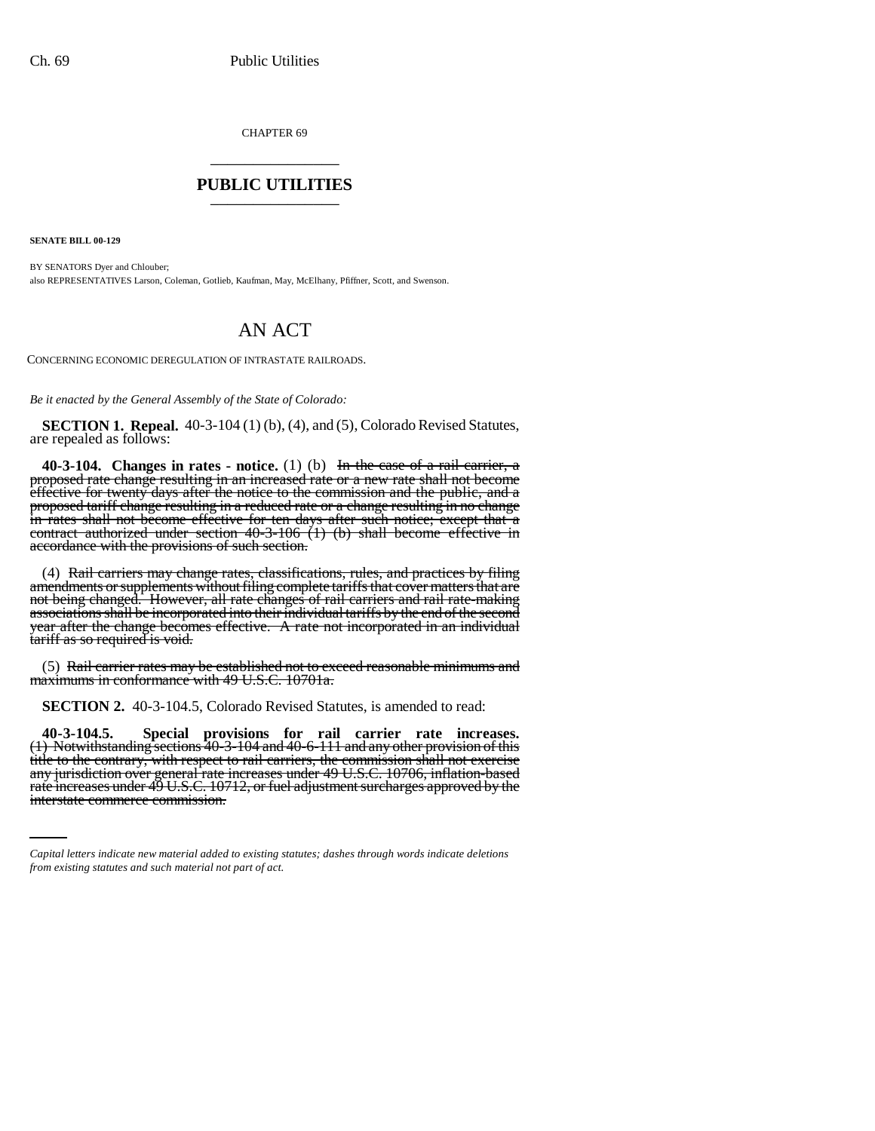CHAPTER 69 \_\_\_\_\_\_\_\_\_\_\_\_\_\_\_

## **PUBLIC UTILITIES** \_\_\_\_\_\_\_\_\_\_\_\_\_\_\_

**SENATE BILL 00-129** 

BY SENATORS Dyer and Chlouber; also REPRESENTATIVES Larson, Coleman, Gotlieb, Kaufman, May, McElhany, Pfiffner, Scott, and Swenson.

## AN ACT

CONCERNING ECONOMIC DEREGULATION OF INTRASTATE RAILROADS.

*Be it enacted by the General Assembly of the State of Colorado:*

**SECTION 1. Repeal.** 40-3-104 (1) (b), (4), and (5), Colorado Revised Statutes, are repealed as follows:

**40-3-104. Changes in rates - notice.** (1) (b) In the case of a rail carrier, a proposed rate change resulting in an increased rate or a new rate shall not become effective for twenty days after the notice to the commission and the public, and a proposed tariff change resulting in a reduced rate or a change resulting in no change proposed tariff change resulting in a reduced rate or a change resulting in no change<br>in rates shall not become effective for ten days after such notice; except that a contract authorized under section 40-3-106 (1) (b) shall become effective in accordance with the provisions of such section.

(4) Rail carriers may change rates, classifications, rules, and practices by filing not being changed. However, all rate changes of rail carriers and rail rate-making associations shall be incorporated into their individual tariffs by the end of the second year after the change becomes effective. A rate not incorporated in an individual tariff as so required is void.

(5) Rail carrier rates may be established not to exceed reasonable minimums and maximums in conformance with 49 U.S.C. 10701a.

**SECTION 2.** 40-3-104.5, Colorado Revised Statutes, is amended to read:

title to the contrary, with respect to rail carriers, the commission shall not exercise **40-3-104.5. Special provisions for rail carrier rate increases.** (1) Notwithstanding sections 40-3-104 and 40-6-111 and any other provision of this any jurisdiction over general rate increases under 49 U.S.C. 10706, inflation-based rate increases under 49 U.S.C. 10712, or fuel adjustment surcharges approved by the<br>interstate commerce commission.

*Capital letters indicate new material added to existing statutes; dashes through words indicate deletions from existing statutes and such material not part of act.*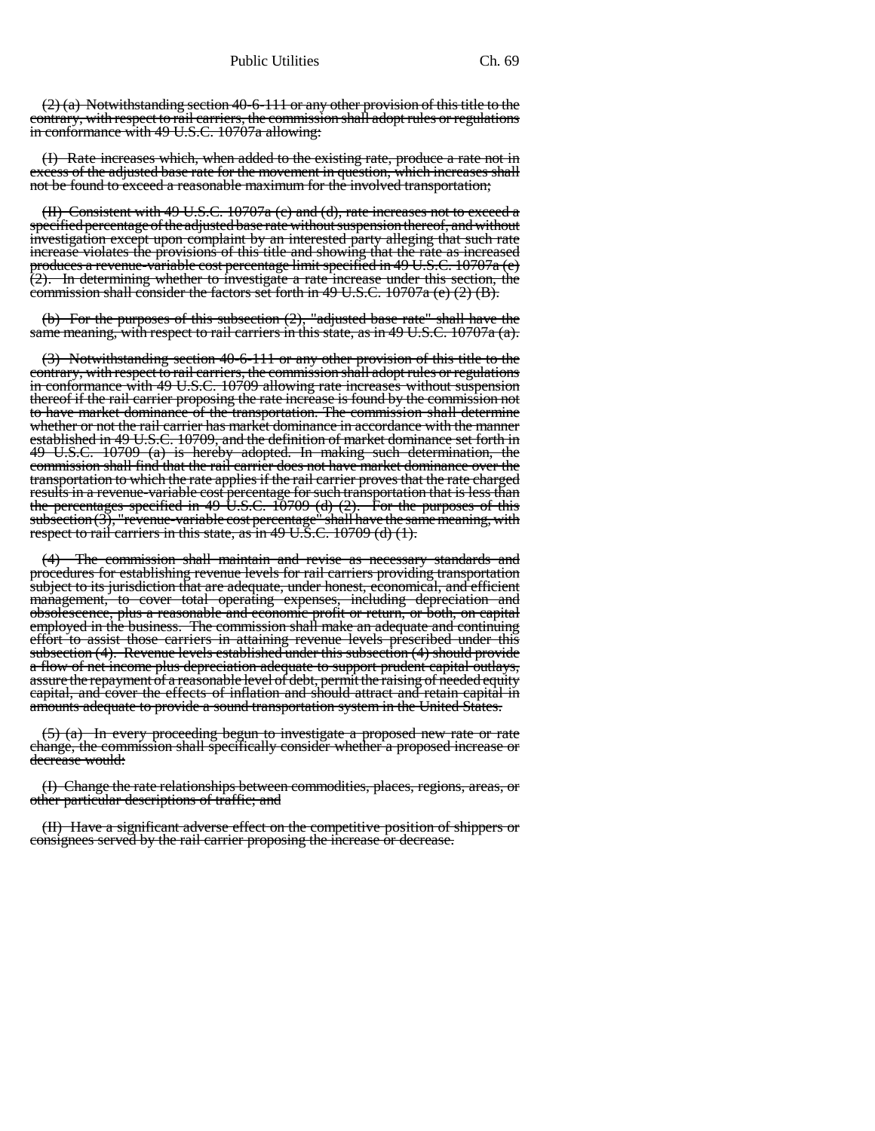(2) (a) Notwithstanding section 40-6-111 or any other provision of this title to the contrary, with respect to rail carriers, the commission shall adopt rules or regulations in conformance with 49 U.S.C. 10707a allowing:

(I) Rate increases which, when added to the existing rate, produce a rate not in excess of the adjusted base rate for the movement in question, which increases shall not be found to exceed a reasonable maximum for the involved transportation;

(II) Consistent with 49 U.S.C. 10707a (c) and (d), rate increases not to exceed a specified percentage of the adjusted base rate without suspension thereof, and without investigation except upon complaint by an interested party alleging that such rate increase violates the provisions of this title and showing that the rate as increased produces a revenue-variable cost percentage limit specified in 49 U.S.C. 10707a (e) (2). In determining whether to investigate a rate increase under this section, the commission shall consider the factors set forth in 49 U.S.C. 10707a (e) (2) (B).

(b) For the purposes of this subsection (2), "adjusted base rate" shall have the same meaning, with respect to rail carriers in this state, as in 49 U.S.C. 10707a (a).

(3) Notwithstanding section 40-6-111 or any other provision of this title to the contrary, with respect to rail carriers, the commission shall adopt rules or regulations in conformance with 49 U.S.C. 10709 allowing rate increases without suspension thereof if the rail carrier proposing the rate increase is found by the commission not to have market dominance of the transportation. The commission shall determine whether or not the rail carrier has market dominance in accordance with the manner established in 49 U.S.C. 10709, and the definition of market dominance set forth in  $49 \text{ U.S.C. } 10709 \text{ (a)}$  is hereby adopted. In making such determination, the commission shall find that the rail carrier does not have market dominance over the transportation to which the rate applies if the rail carrier proves that the rate charged results in a revenue-variable cost percentage for such transportation that is less than the percentages specified in 49 U.S.C. 10709 (d) (2). For the purposes of this subsection (3), "revenue-variable cost percentage" shall have the same meaning, with respect to rail carriers in this state, as in 49 U.S.C. 10709 (d) (1).

(4) The commission shall maintain and revise as necessary standards and procedures for establishing revenue levels for rail carriers providing transportation subject to its jurisdiction that are adequate, under honest, economical, and efficient management, to cover total operating expenses, including depreciation and obsolescence, plus a reasonable and economic profit or return, or both, on capital employed in the business. The commission shall make an adequate and continuing effort to assist those carriers in attaining revenue levels prescribed under this subsection (4). Revenue levels established under this subsection (4) should provide a flow of net income plus depreciation adequate to support prudent capital outlays, assure the repayment of a reasonable level of debt, permit the raising of needed equity capital, and cover the effects of inflation and should attract and retain capital in amounts adequate to provide a sound transportation system in the United States.

 $(5)$  (a) In every proceeding begun to investigate a proposed new rate or rate change, the commission shall specifically consider whether a proposed increase or decrease would:

(I) Change the rate relationships between commodities, places, regions, areas, or other particular descriptions of traffic; and

(II) Have a significant adverse effect on the competitive position of shippers or consignees served by the rail carrier proposing the increase or decrease.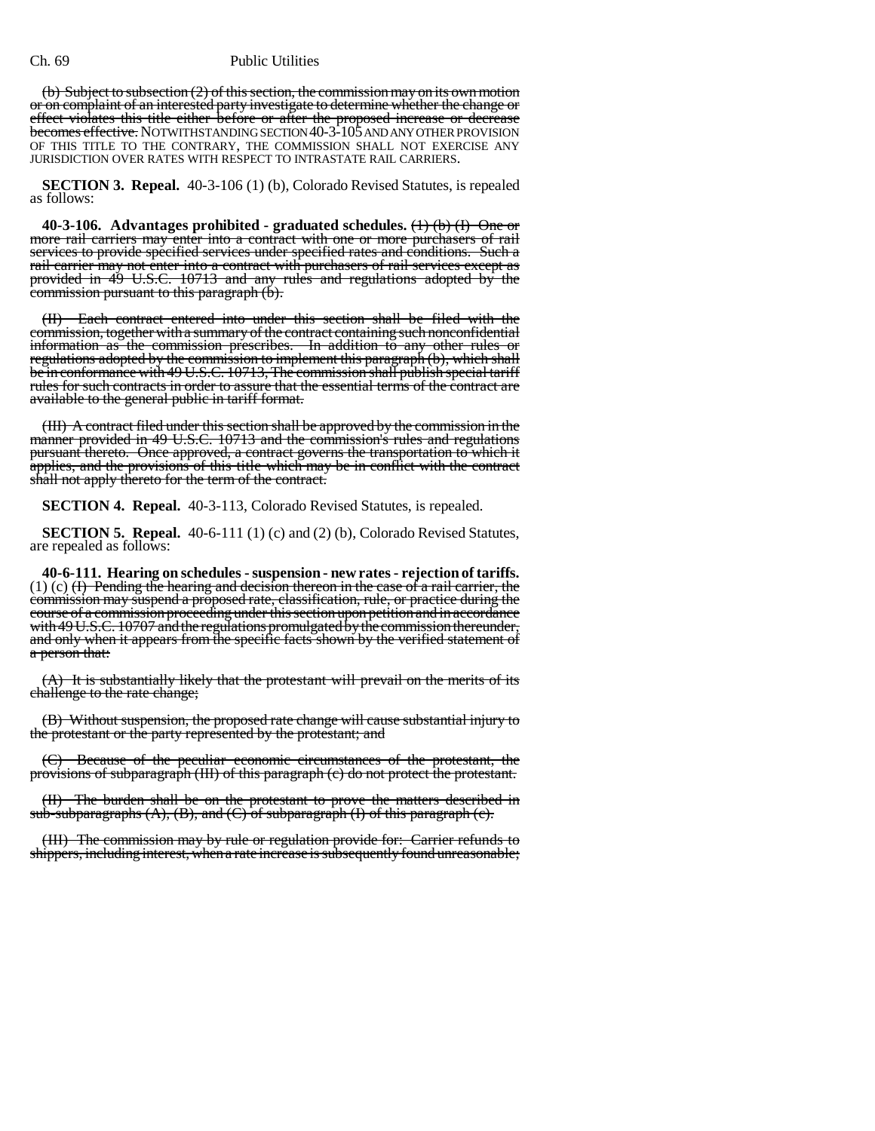## Ch. 69 Public Utilities

(b) Subject to subsection (2) of this section, the commission may on its own motion or on complaint of an interested party investigate to determine whether the change or <del>effect violates this title either before or after the proposed increase or decrease</del><br><del>becomes effective.</del> NOTWITHSTANDINGSECTION40-3-105 AND ANY OTHER PROVISION OF THIS TITLE TO THE CONTRARY, THE COMMISSION SHALL NOT EXERCISE ANY JURISDICTION OVER RATES WITH RESPECT TO INTRASTATE RAIL CARRIERS.

**SECTION 3. Repeal.** 40-3-106 (1) (b), Colorado Revised Statutes, is repealed as follows:

**40-3-106. Advantages prohibited - graduated schedules.** (1) (b) (I) One or more rail carriers may enter into a contract with one or more purchasers of rail services to provide specified services under specified rates and conditions. Such a rail carrier may not enter into a contract with purchasers of rail services except as provided in 49 U.S.C. 10713 and any rules and regulations adopted by the commission pursuant to this paragraph (b).

(II) Each contract entered into under this section shall be filed with the commission, together with a summary of the contract containing such nonconfidential information as the commission prescribes. In addition to any other rules or regulations adopted by the commission to implement this paragraph (b), which shall be in conformance with 49 U.S.C. 10713, The commission shall publish special tariff rules for such contracts in order to assure that the essential terms of the contract are available to the general public in tariff format.

(III) A contract filed under this section shall be approved by the commission in the manner provided in 49 U.S.C. 10713 and the commission's rules and regulations pursuant thereto. Once approved, a contract governs the transportation to which it applies, and the provisions of this title which may be in conflict with the contract shall not apply thereto for the term of the contract.

**SECTION 4. Repeal.** 40-3-113, Colorado Revised Statutes, is repealed.

**SECTION 5. Repeal.** 40-6-111 (1) (c) and (2) (b), Colorado Revised Statutes, are repealed as follows:

**40-6-111. Hearing on schedules - suspension - new rates - rejection of tariffs.**  $(1)$  (c)  $(H)$  Pending the hearing and decision thereon in the case of a rail carrier, the commission may suspend a proposed rate, classification, rule, or practice during the course of a commission proceeding under this section upon petition and in accordance with 49 U.S.C. 10707 and the regulations promulgated by the commission thereunder, and only when it appears from the specific facts shown by the verified statement of a person that:

(A) It is substantially likely that the protestant will prevail on the merits of its challenge to the rate change;

(B) Without suspension, the proposed rate change will cause substantial injury to the protestant or the party represented by the protestant; and

(C) Because of the peculiar economic circumstances of the protestant, the provisions of subparagraph (III) of this paragraph (c) do not protect the protestant.

(II) The burden shall be on the protestant to prove the matters described in sub-subparagraphs (A), (B), and (C) of subparagraph (I) of this paragraph (c).

(III) The commission may by rule or regulation provide for: Carrier refunds to shippers, including interest, when a rate increase is subsequently found unreasonable;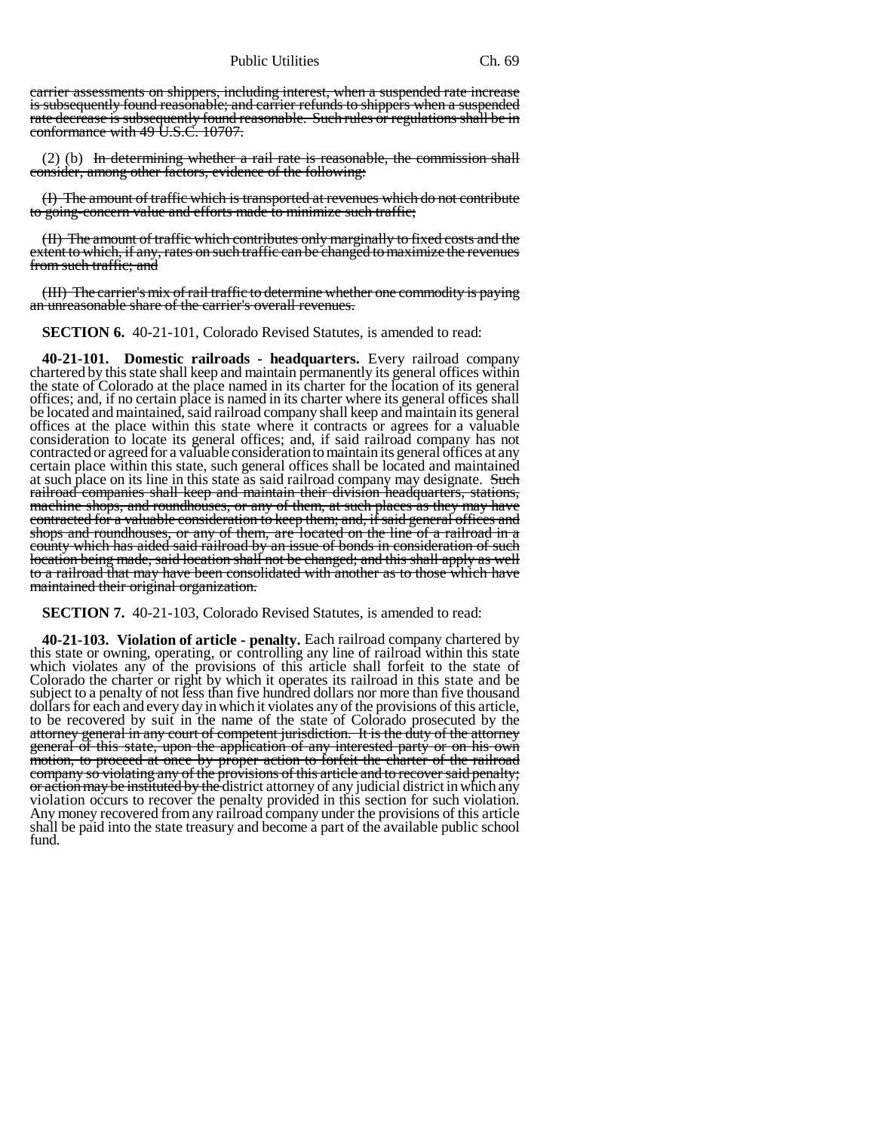Public Utilities Ch. 69

carrier assessments on shippers, including interest, when a suspended rate increase is subsequently found reasonable; and carrier refunds to shippers when a suspended rate decrease is subsequently found reasonable. Such rules or regulations shall be in conformance with 49 U.S.C. 10707.

 $(2)$  (b) In determining whether a rail rate is reasonable, the commission shall consider, among other factors, evidence of the following:

(I) The amount of traffic which is transported at revenues which do not contribute to going-concern value and efforts made to minimize such traffic;

(II) The amount of traffic which contributes only marginally to fixed costs and the extent to which, if any, rates on such traffic can be changed to maximize the revenues from such traffic; and

(III) The carrier's mix of rail traffic to determine whether one commodity is paying an unreasonable share of the carrier's overall revenues.

**SECTION 6.** 40-21-101, Colorado Revised Statutes, is amended to read:

**40-21-101. Domestic railroads - headquarters.** Every railroad company chartered by this state shall keep and maintain permanently its general offices within the state of Colorado at the place named in its charter for the location of its general offices; and, if no certain place is named in its charter where its general offices shall be located and maintained, said railroad company shall keep and maintain its general offices at the place within this state where it contracts or agrees for a valuable consideration to locate its general offices; and, if said railroad company has not contracted or agreed for a valuable consideration to maintain its general offices at any certain place within this state, such general offices shall be located and maintained at such place on its line in this state as said railroad company may designate. Such railroad companies shall keep and maintain their division headquarters, stations, machine shops, and roundhouses, or any of them, at such places as they may have contracted for a valuable consideration to keep them; and, if said general offices and shops and roundhouses, or any of them, are located on the line of a railroad in a county which has aided said railroad by an issue of bonds in consideration of such location being made, said location shall not be changed; and this shall apply as well to a railroad that may have been consolidated with another as to those which have maintained their original organization.

**SECTION 7.** 40-21-103, Colorado Revised Statutes, is amended to read:

**40-21-103. Violation of article - penalty.** Each railroad company chartered by this state or owning, operating, or controlling any line of railroad within this state which violates any of the provisions of this article shall forfeit to the state of Colorado the charter or right by which it operates its railroad in this state and be subject to a penalty of not less than five hundred dollars nor more than five thousand dollars for each and every day in which it violates any of the provisions of this article, to be recovered by suit in the name of the state of Colorado prosecuted by the attorney general in any court of competent jurisdiction. It is the duty of the attorney general of this state, upon the application of any interested party or on his own motion, to proceed at once by proper action to forfeit the charter of the railroad company so violating any of the provisions of this article and to recover said penalty; or action may be instituted by the district attorney of any judicial district in which any violation occurs to recover the penalty provided in this section for such violation. Any money recovered from any railroad company under the provisions of this article shall be paid into the state treasury and become a part of the available public school fund.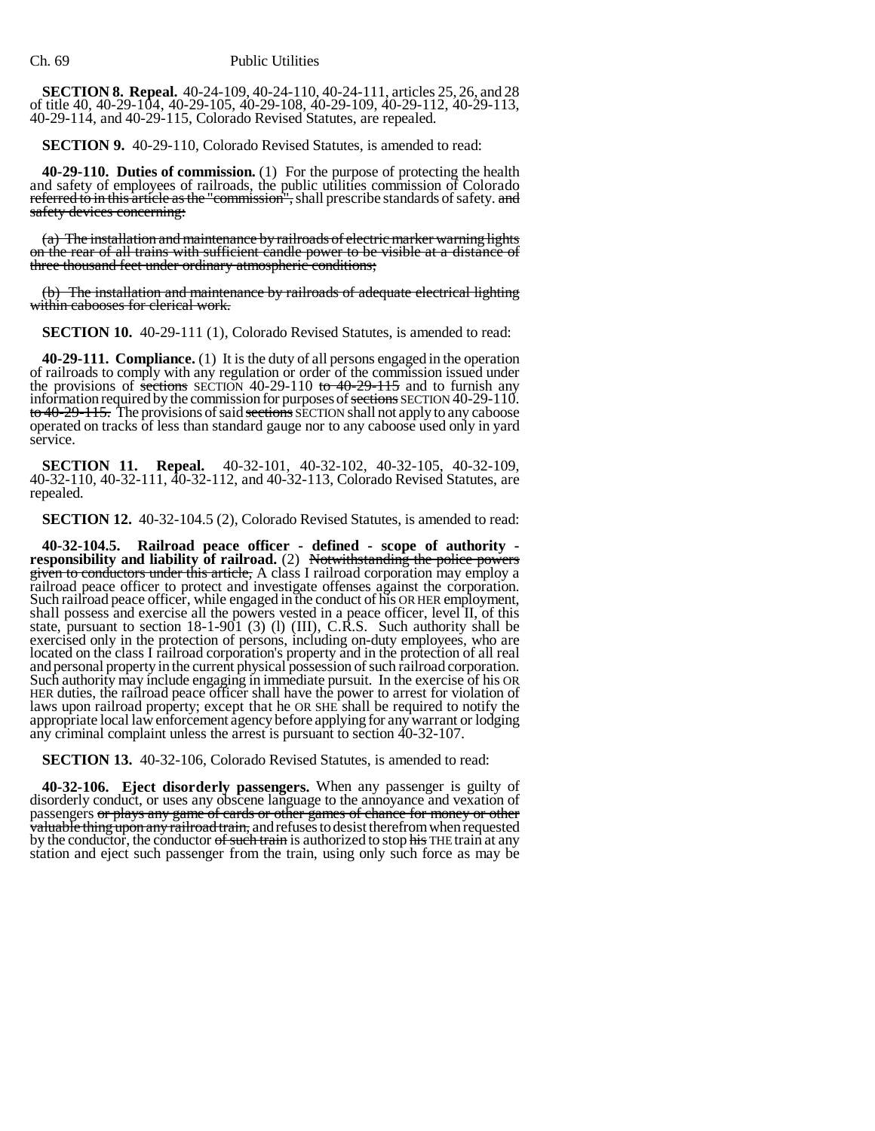**SECTION 8. Repeal.** 40-24-109, 40-24-110, 40-24-111, articles 25, 26, and 28 of title 40, 40-29-104, 40-29-105, 40-29-108, 40-29-109, 40-29-112, 40-29-113, 40-29-114, and 40-29-115, Colorado Revised Statutes, are repealed.

**SECTION 9.** 40-29-110, Colorado Revised Statutes, is amended to read:

**40-29-110. Duties of commission.** (1) For the purpose of protecting the health and safety of employees of railroads, the public utilities commission of Colorado referred to in this article as the "commission", shall prescribe standards of safety. and safety devices concerning:

(a) The installation and maintenance by railroads of electric marker warning lights on the rear of all trains with sufficient candle power to be visible at a distance of three thousand feet under ordinary atmospheric conditions;

(b) The installation and maintenance by railroads of adequate electrical lighting within cabooses for clerical work.

**SECTION 10.** 40-29-111 (1), Colorado Revised Statutes, is amended to read:

**40-29-111. Compliance.** (1) It is the duty of all persons engaged in the operation of railroads to comply with any regulation or order of the commission issued under the provisions of <del>sections</del> SECTION 40-29-110 to  $40$ the provisions of sections SECTION 40-29-110 to  $40-29-115$  and to furnish any information required by the commission for purposes of sections SECTION 40-29-110. <del>to 40-29-115.</del> The provisions of said <del>sections</del> SECTION shall not apply to any caboose<br>operated on tracks of less than standard gauge nor to any caboose used only in yard service.

**SECTION 11. Repeal.** 40-32-101, 40-32-102, 40-32-105, 40-32-109, 40-32-110, 40-32-111, 40-32-112, and 40-32-113, Colorado Revised Statutes, are repealed.

**SECTION 12.** 40-32-104.5 (2), Colorado Revised Statutes, is amended to read:

40-32-104.5. Railroad peace officer - defined - scope of authority - responsibility and liability of railroad. (2) Notwithstanding the police powers given to conductors under this article, A class I railroad corporation m Such railroad peace officer, while engaged in the conduct of his OR HER employment, shall possess and exercise all the powers vested in a peace officer, level II, of this state, pursuant to section 18-1-901 (3) (l) (III), C.R.S. Such authority shall be exercised only in the protection of persons, including on-duty employees, who are located on the class I railroad corporation's property and in the protection of all real and personal property in the current physical possession of such railroad corporation. Such authority may include engaging in immediate pursuit. In the exercise of his OR HER duties, the railroad peace officer shall have the power to arrest for violation of laws upon railroad property; except that he OR SHE shall be required to notify the appropriate local law enforcement agency before appl any criminal complaint unless the arrest is pursuant to section 40-32-107.

**SECTION 13.** 40-32-106, Colorado Revised Statutes, is amended to read:

**40-32-106. Eject disorderly passengers.** When any passenger is guilty of disorderly conduct, or uses any obscene language to the annoyance and vexation of passengers or plays any game of cards or other games of chance for money or other valuable thing upon any railroad train, and refuses to desist therefrom when requested<br>by the conductor, the conductor of such train is authorized to stop his THE train at any<br>station and eject such passenger from the trai